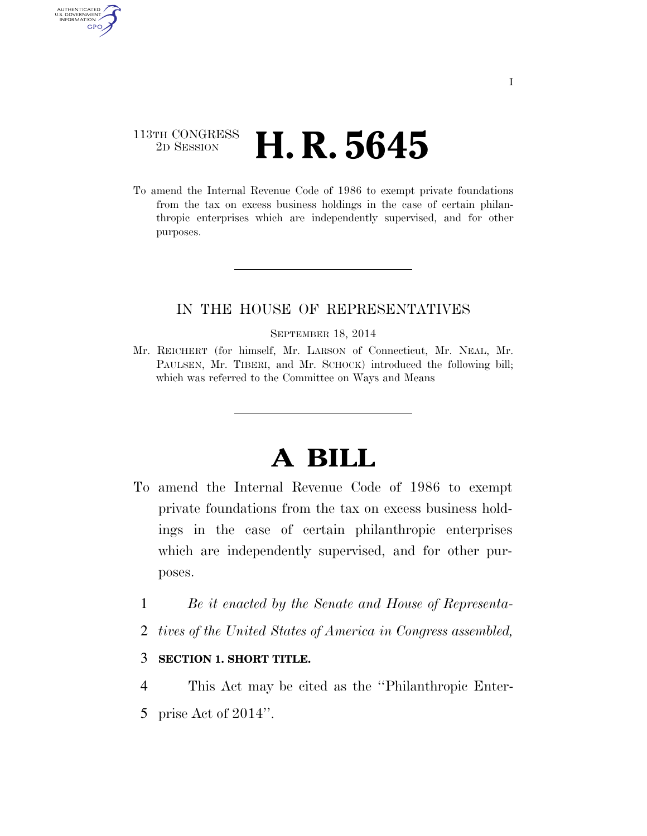# 113TH CONGRESS <sup>2D SESSION</sup> **H. R. 5645**

AUTHENTICATED<br>U.S. GOVERNMENT<br>INFORMATION GPO

> To amend the Internal Revenue Code of 1986 to exempt private foundations from the tax on excess business holdings in the case of certain philanthropic enterprises which are independently supervised, and for other purposes.

## IN THE HOUSE OF REPRESENTATIVES

#### SEPTEMBER 18, 2014

Mr. REICHERT (for himself, Mr. LARSON of Connecticut, Mr. NEAL, Mr. PAULSEN, Mr. TIBERI, and Mr. SCHOCK) introduced the following bill; which was referred to the Committee on Ways and Means

# **A BILL**

- To amend the Internal Revenue Code of 1986 to exempt private foundations from the tax on excess business holdings in the case of certain philanthropic enterprises which are independently supervised, and for other purposes.
	- 1 *Be it enacted by the Senate and House of Representa-*
	- 2 *tives of the United States of America in Congress assembled,*

### 3 **SECTION 1. SHORT TITLE.**

- 4 This Act may be cited as the ''Philanthropic Enter-
- 5 prise Act of 2014''.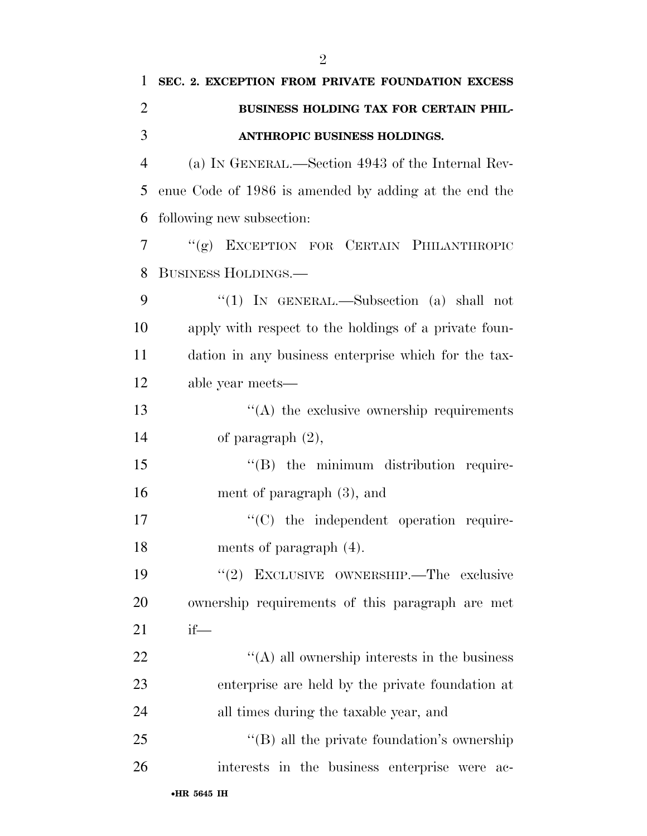| 1              | SEC. 2. EXCEPTION FROM PRIVATE FOUNDATION EXCESS      |
|----------------|-------------------------------------------------------|
| $\overline{2}$ | BUSINESS HOLDING TAX FOR CERTAIN PHIL-                |
| 3              | ANTHROPIC BUSINESS HOLDINGS.                          |
| $\overline{4}$ | (a) IN GENERAL.—Section 4943 of the Internal Rev-     |
| 5              | enue Code of 1986 is amended by adding at the end the |
| 6              | following new subsection:                             |
| 7              | "(g) EXCEPTION FOR CERTAIN PHILANTHROPIC              |
| 8              | BUSINESS HOLDINGS.-                                   |
| 9              | "(1) IN GENERAL.—Subsection (a) shall not             |
| 10             | apply with respect to the holdings of a private foun- |
| 11             | dation in any business enterprise which for the tax-  |
| 12             | able year meets—                                      |
| 13             | $\lq\lq$ the exclusive ownership requirements         |
| 14             | of paragraph $(2)$ ,                                  |
| 15             | "(B) the minimum distribution require-                |
| 16             | ment of paragraph $(3)$ , and                         |
| 17             | $\cdot$ (C) the independent operation require-        |
| 18             | ments of paragraph (4).                               |
| 19             | "(2) EXCLUSIVE OWNERSHIP.—The exclusive               |
| 20             | ownership requirements of this paragraph are met      |
| 21             | $if$ —                                                |
| 22             | $\cdot$ (A) all ownership interests in the business   |
| 23             | enterprise are held by the private foundation at      |
| 24             | all times during the taxable year, and                |
| 25             | "(B) all the private foundation's ownership           |
| 26             | interests in the business enterprise were<br>ac-      |
|                |                                                       |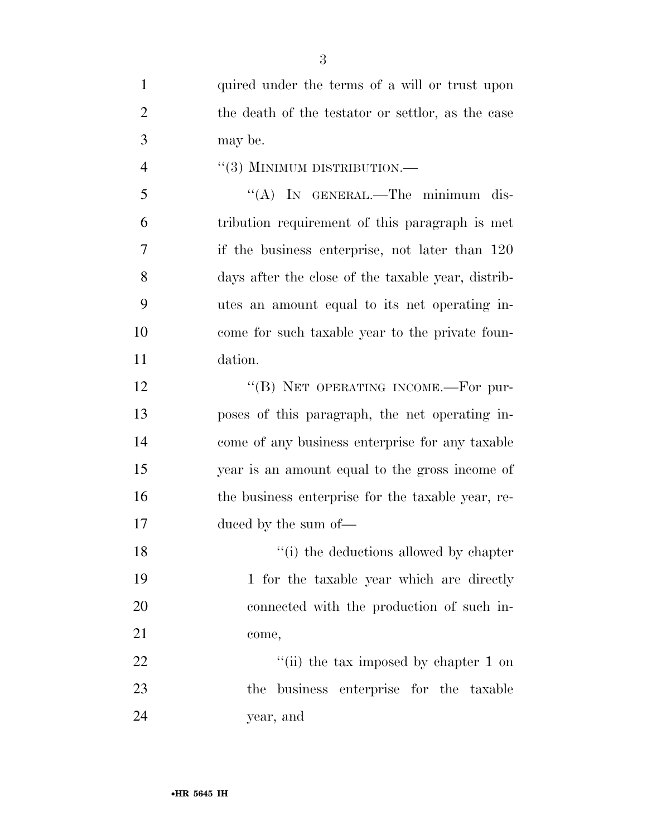| $\mathbf{1}$   | quired under the terms of a will or trust upon     |
|----------------|----------------------------------------------------|
| $\overline{2}$ | the death of the testator or settlor, as the case  |
| 3              | may be.                                            |
| $\overline{4}$ | $``(3)$ MINIMUM DISTRIBUTION.—                     |
| 5              | "(A) IN GENERAL.—The minimum dis-                  |
| 6              | tribution requirement of this paragraph is met     |
| 7              | if the business enterprise, not later than 120     |
| 8              | days after the close of the taxable year, distrib- |
| 9              | utes an amount equal to its net operating in-      |
| 10             | come for such taxable year to the private foun-    |
| 11             | dation.                                            |
| 12             | "(B) NET OPERATING INCOME.—For pur-                |
| 13             | poses of this paragraph, the net operating in-     |
| 14             | come of any business enterprise for any taxable    |
| 15             | year is an amount equal to the gross income of     |
| 16             | the business enterprise for the taxable year, re-  |
| 17             | duced by the sum of—                               |
| 18             | "(i) the deductions allowed by chapter             |
| 19             | 1 for the taxable year which are directly          |
| 20             | connected with the production of such in-          |
| 21             | come,                                              |
| 22             | "(ii) the tax imposed by chapter 1 on              |
| 23             | the business enterprise for the taxable            |
| 24             | year, and                                          |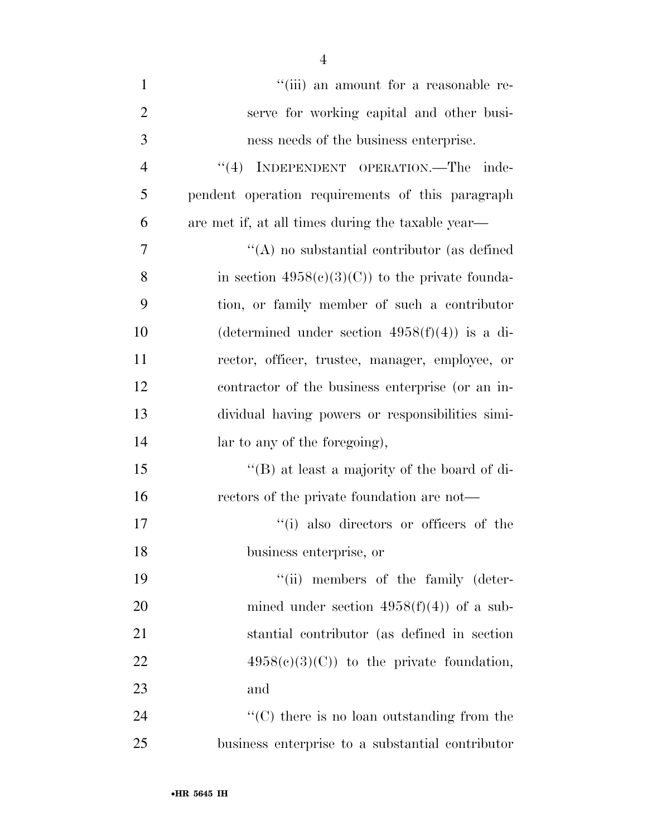| $\mathbf{1}$   | "(iii) an amount for a reasonable re-             |
|----------------|---------------------------------------------------|
| $\overline{2}$ | serve for working capital and other busi-         |
| 3              | ness needs of the business enterprise.            |
| $\overline{4}$ | "(4) INDEPENDENT OPERATION.—The inde-             |
| 5              | pendent operation requirements of this paragraph  |
| 6              | are met if, at all times during the taxable year— |
| 7              | $\lq\lq$ no substantial contributor (as defined   |
| 8              | in section $4958(c)(3)(C)$ to the private founda- |
| 9              | tion, or family member of such a contributor      |
| 10             | (determined under section $4958(f)(4)$ ) is a di- |
| 11             | rector, officer, trustee, manager, employee, or   |
| 12             | contractor of the business enterprise (or an in-  |
| 13             | dividual having powers or responsibilities simi-  |
| 14             | lar to any of the foregoing),                     |
| 15             | "(B) at least a majority of the board of di-      |
| 16             | rectors of the private foundation are not—        |
| 17             | "(i) also directors or officers of the            |
| 18             | business enterprise, or                           |
| 19             | "(ii) members of the family (deter-               |
| 20             | mined under section $4958(f)(4)$ of a sub-        |
| 21             | stantial contributor (as defined in section       |
| 22             | $4958(c)(3)(C)$ to the private foundation,        |
| 23             | and                                               |
| 24             | $\cdot$ (C) there is no loan outstanding from the |
| 25             | business enterprise to a substantial contributor  |

4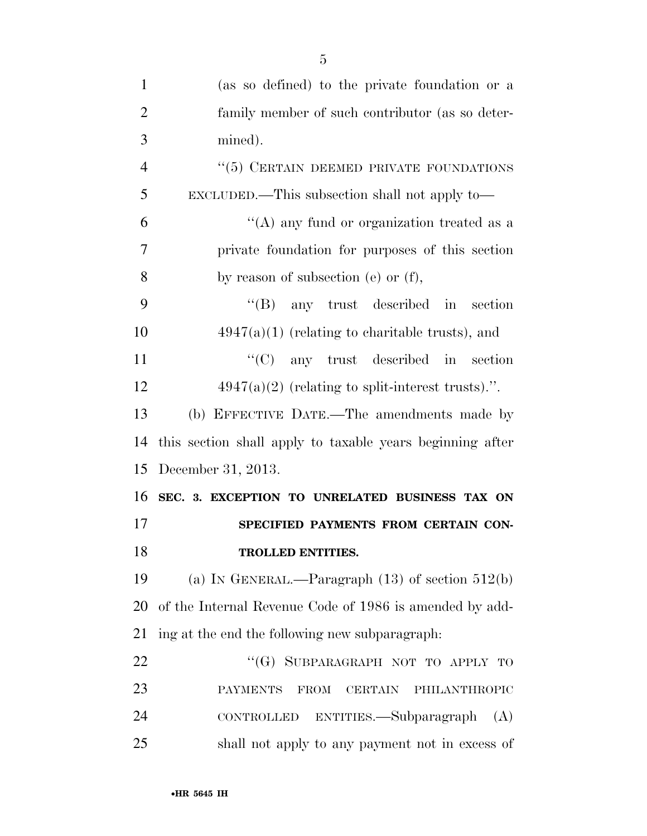| $\mathbf{1}$   | (as so defined) to the private foundation or a                    |
|----------------|-------------------------------------------------------------------|
| $\overline{2}$ | family member of such contributor (as so deter-                   |
| 3              | mined).                                                           |
| $\overline{4}$ | "(5) CERTAIN DEEMED PRIVATE FOUNDATIONS                           |
| 5              | EXCLUDED.—This subsection shall not apply to—                     |
| 6              | "(A) any fund or organization treated as a                        |
| 7              | private foundation for purposes of this section                   |
| 8              | by reason of subsection (e) or (f),                               |
| 9              | $\lq\lq(B)$ any trust described in section                        |
| 10             | $4947(a)(1)$ (relating to charitable trusts), and                 |
| 11             | $\lq\lq$ (C) any trust described in section                       |
| 12             | $4947(a)(2)$ (relating to split-interest trusts).".               |
| 13             | (b) EFFECTIVE DATE.—The amendments made by                        |
| 14             | this section shall apply to taxable years beginning after         |
| 15             | December 31, 2013.                                                |
| 16             | SEC. 3. EXCEPTION TO UNRELATED BUSINESS TAX ON                    |
| 17             | SPECIFIED PAYMENTS FROM CERTAIN CON-                              |
| 18             | <b>TROLLED ENTITIES.</b>                                          |
| 19             | (a) IN GENERAL.—Paragraph $(13)$ of section $512(b)$              |
| 20             | of the Internal Revenue Code of 1986 is amended by add-           |
| 21             | ing at the end the following new subparagraph:                    |
| 22             | "(G) SUBPARAGRAPH NOT TO APPLY TO                                 |
| 23             | <b>PAYMENTS</b><br>PHILANTHROPIC<br><b>FROM</b><br><b>CERTAIN</b> |
| 24             | CONTROLLED ENTITIES.—Subparagraph<br>(A)                          |
| 25             | shall not apply to any payment not in excess of                   |